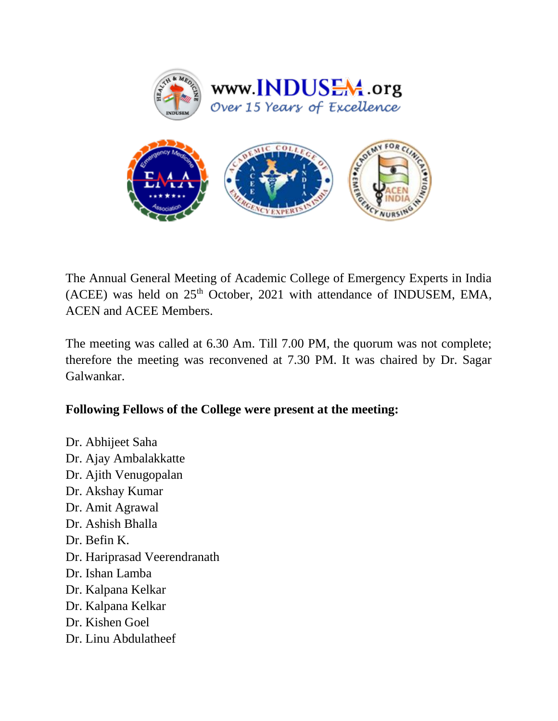

The Annual General Meeting of Academic College of Emergency Experts in India (ACEE) was held on  $25<sup>th</sup>$  October, 2021 with attendance of INDUSEM, EMA, ACEN and ACEE Members.

The meeting was called at 6.30 Am. Till 7.00 PM, the quorum was not complete; therefore the meeting was reconvened at 7.30 PM. It was chaired by Dr. Sagar Galwankar.

## **Following Fellows of the College were present at the meeting:**

Dr. Abhijeet Saha Dr. Ajay Ambalakkatte Dr. Ajith Venugopalan Dr. Akshay Kumar Dr. Amit Agrawal Dr. Ashish Bhalla Dr. Befin K. Dr. Hariprasad Veerendranath Dr. Ishan Lamba Dr. Kalpana Kelkar Dr. Kalpana Kelkar Dr. Kishen Goel Dr. Linu Abdulatheef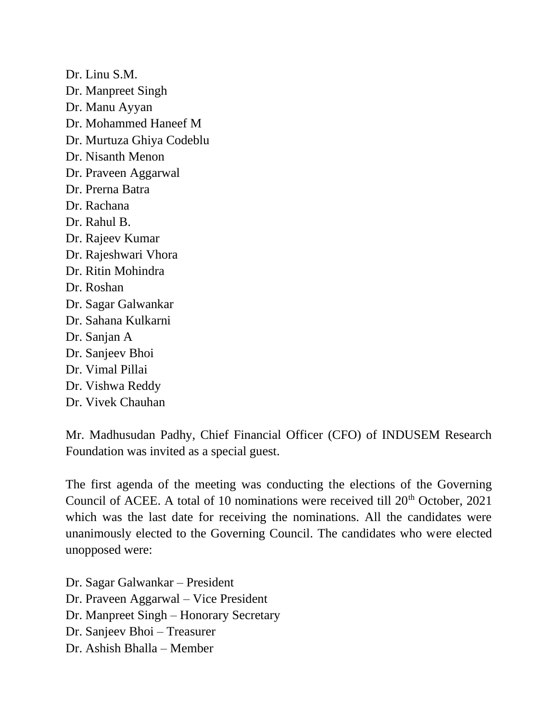Dr. Linu S.M. Dr. Manpreet Singh Dr. Manu Ayyan Dr. Mohammed Haneef M Dr. Murtuza Ghiya Codeblu Dr. Nisanth Menon Dr. Praveen Aggarwal Dr. Prerna Batra Dr. Rachana Dr. Rahul B. Dr. Rajeev Kumar Dr. Rajeshwari Vhora Dr. Ritin Mohindra Dr. Roshan Dr. Sagar Galwankar Dr. Sahana Kulkarni Dr. Sanjan A Dr. Sanjeev Bhoi Dr. Vimal Pillai Dr. Vishwa Reddy Dr. Vivek Chauhan

Mr. Madhusudan Padhy, Chief Financial Officer (CFO) of INDUSEM Research Foundation was invited as a special guest.

The first agenda of the meeting was conducting the elections of the Governing Council of ACEE. A total of 10 nominations were received till  $20<sup>th</sup>$  October, 2021 which was the last date for receiving the nominations. All the candidates were unanimously elected to the Governing Council. The candidates who were elected unopposed were:

Dr. Sagar Galwankar – President Dr. Praveen Aggarwal – Vice President Dr. Manpreet Singh – Honorary Secretary Dr. Sanjeev Bhoi – Treasurer Dr. Ashish Bhalla – Member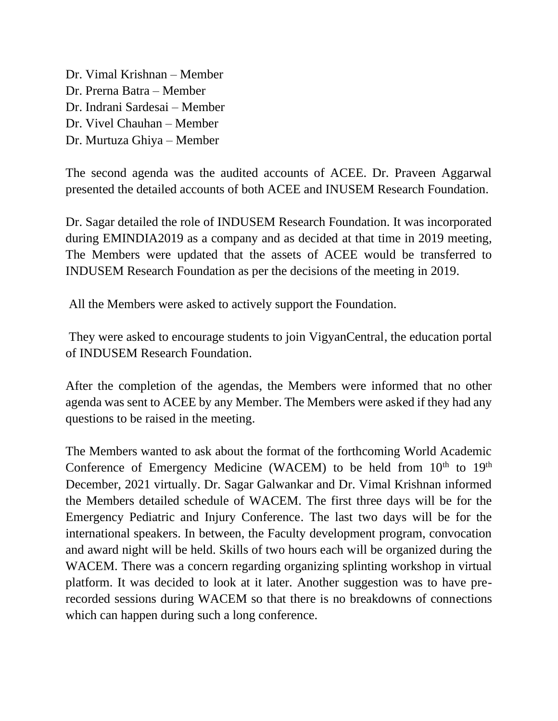Dr. Vimal Krishnan – Member Dr. Prerna Batra – Member Dr. Indrani Sardesai – Member Dr. Vivel Chauhan – Member Dr. Murtuza Ghiya – Member

The second agenda was the audited accounts of ACEE. Dr. Praveen Aggarwal presented the detailed accounts of both ACEE and INUSEM Research Foundation.

Dr. Sagar detailed the role of INDUSEM Research Foundation. It was incorporated during EMINDIA2019 as a company and as decided at that time in 2019 meeting, The Members were updated that the assets of ACEE would be transferred to INDUSEM Research Foundation as per the decisions of the meeting in 2019.

All the Members were asked to actively support the Foundation.

They were asked to encourage students to join VigyanCentral, the education portal of INDUSEM Research Foundation.

After the completion of the agendas, the Members were informed that no other agenda was sent to ACEE by any Member. The Members were asked if they had any questions to be raised in the meeting.

The Members wanted to ask about the format of the forthcoming World Academic Conference of Emergency Medicine (WACEM) to be held from  $10<sup>th</sup>$  to  $19<sup>th</sup>$ December, 2021 virtually. Dr. Sagar Galwankar and Dr. Vimal Krishnan informed the Members detailed schedule of WACEM. The first three days will be for the Emergency Pediatric and Injury Conference. The last two days will be for the international speakers. In between, the Faculty development program, convocation and award night will be held. Skills of two hours each will be organized during the WACEM. There was a concern regarding organizing splinting workshop in virtual platform. It was decided to look at it later. Another suggestion was to have prerecorded sessions during WACEM so that there is no breakdowns of connections which can happen during such a long conference.